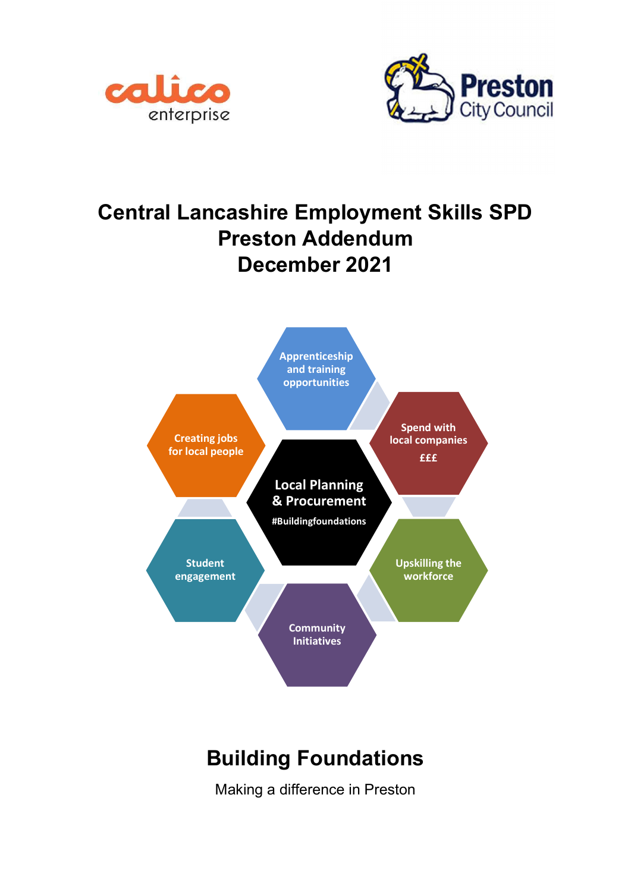



## Central Lancashire Employment Skills SPD Preston Addendum December 2021



# Building Foundations

Making a difference in Preston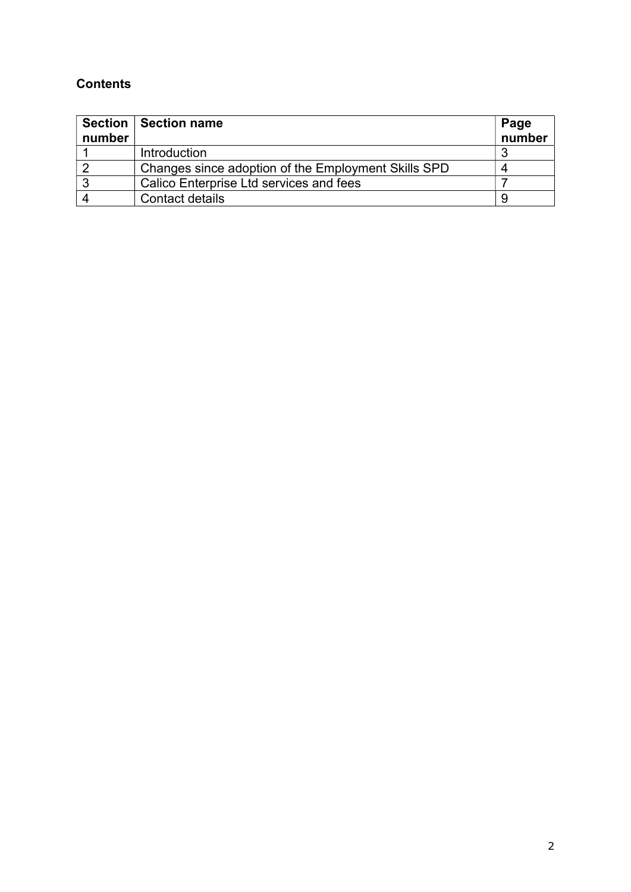## **Contents**

| number | Section   Section name                              | Page<br>number |
|--------|-----------------------------------------------------|----------------|
|        | Introduction                                        |                |
|        | Changes since adoption of the Employment Skills SPD |                |
|        | Calico Enterprise Ltd services and fees             |                |
|        | Contact details                                     |                |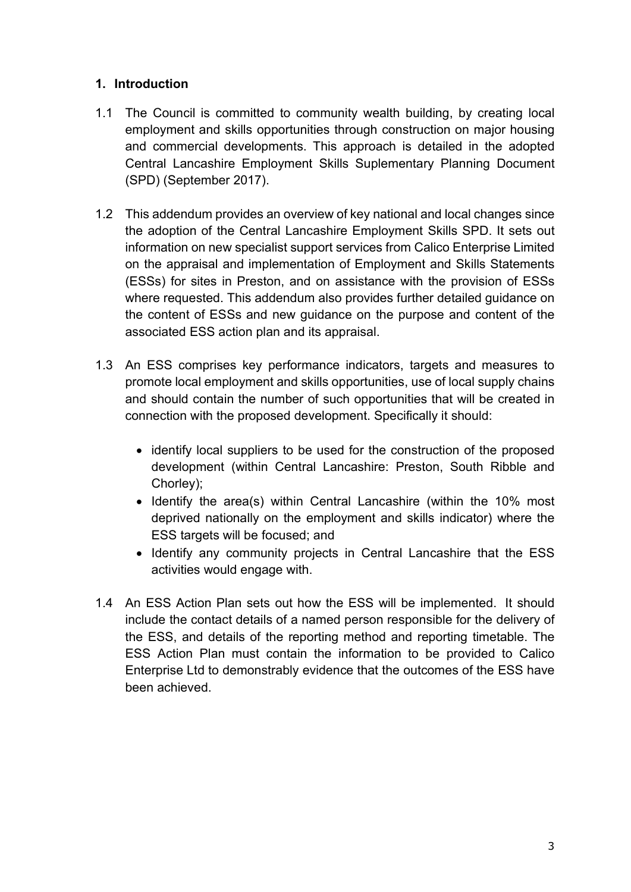## 1. Introduction

- 1.1 The Council is committed to community wealth building, by creating local employment and skills opportunities through construction on major housing and commercial developments. This approach is detailed in the adopted Central Lancashire Employment Skills Suplementary Planning Document (SPD) (September 2017).
- 1.2 This addendum provides an overview of key national and local changes since the adoption of the Central Lancashire Employment Skills SPD. It sets out information on new specialist support services from Calico Enterprise Limited on the appraisal and implementation of Employment and Skills Statements (ESSs) for sites in Preston, and on assistance with the provision of ESSs where requested. This addendum also provides further detailed guidance on the content of ESSs and new guidance on the purpose and content of the associated ESS action plan and its appraisal.
- 1.3 An ESS comprises key performance indicators, targets and measures to promote local employment and skills opportunities, use of local supply chains and should contain the number of such opportunities that will be created in connection with the proposed development. Specifically it should:
	- identify local suppliers to be used for the construction of the proposed development (within Central Lancashire: Preston, South Ribble and Chorley);
	- Identify the area(s) within Central Lancashire (within the 10% most deprived nationally on the employment and skills indicator) where the ESS targets will be focused; and
	- Identify any community projects in Central Lancashire that the ESS activities would engage with.
- 1.4 An ESS Action Plan sets out how the ESS will be implemented. It should include the contact details of a named person responsible for the delivery of the ESS, and details of the reporting method and reporting timetable. The ESS Action Plan must contain the information to be provided to Calico Enterprise Ltd to demonstrably evidence that the outcomes of the ESS have been achieved.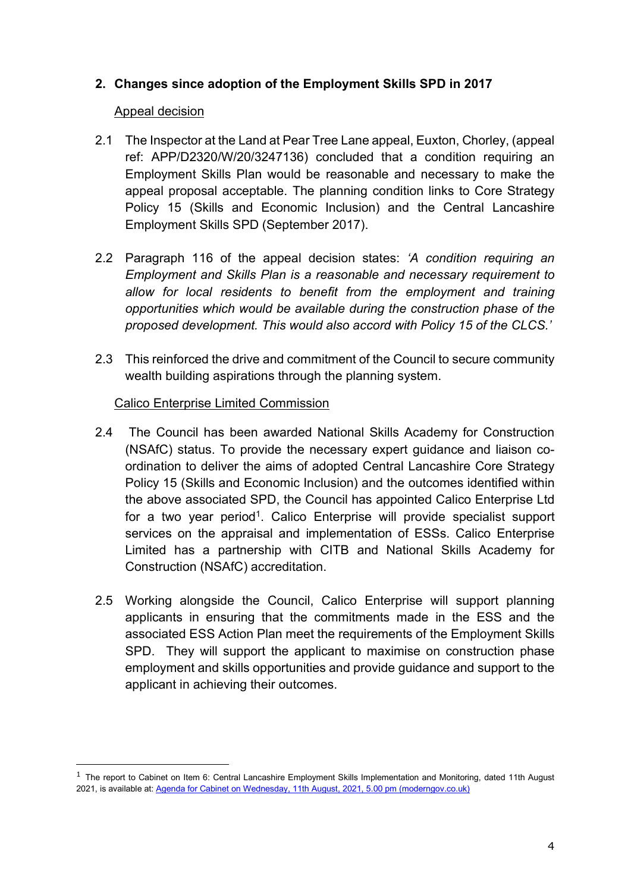## 2. Changes since adoption of the Employment Skills SPD in 2017

#### Appeal decision

- 2.1 The Inspector at the Land at Pear Tree Lane appeal, Euxton, Chorley, (appeal ref: APP/D2320/W/20/3247136) concluded that a condition requiring an Employment Skills Plan would be reasonable and necessary to make the appeal proposal acceptable. The planning condition links to Core Strategy Policy 15 (Skills and Economic Inclusion) and the Central Lancashire Employment Skills SPD (September 2017).
- 2.2 Paragraph 116 of the appeal decision states: 'A condition requiring an Employment and Skills Plan is a reasonable and necessary requirement to allow for local residents to benefit from the employment and training opportunities which would be available during the construction phase of the proposed development. This would also accord with Policy 15 of the CLCS.'
- 2.3 This reinforced the drive and commitment of the Council to secure community wealth building aspirations through the planning system.

#### Calico Enterprise Limited Commission

- 2.4 The Council has been awarded National Skills Academy for Construction (NSAfC) status. To provide the necessary expert guidance and liaison coordination to deliver the aims of adopted Central Lancashire Core Strategy Policy 15 (Skills and Economic Inclusion) and the outcomes identified within the above associated SPD, the Council has appointed Calico Enterprise Ltd for a two year period<sup>1</sup>. Calico Enterprise will provide specialist support services on the appraisal and implementation of ESSs. Calico Enterprise Limited has a partnership with CITB and National Skills Academy for Construction (NSAfC) accreditation.
- 2.5 Working alongside the Council, Calico Enterprise will support planning applicants in ensuring that the commitments made in the ESS and the associated ESS Action Plan meet the requirements of the Employment Skills SPD. They will support the applicant to maximise on construction phase employment and skills opportunities and provide guidance and support to the applicant in achieving their outcomes.

 $1$  The report to Cabinet on Item 6: Central Lancashire Employment Skills Implementation and Monitoring, dated 11th August 2021, is available at: Agenda for Cabinet on Wednesday, 11th August, 2021, 5.00 pm (moderngov.co.uk)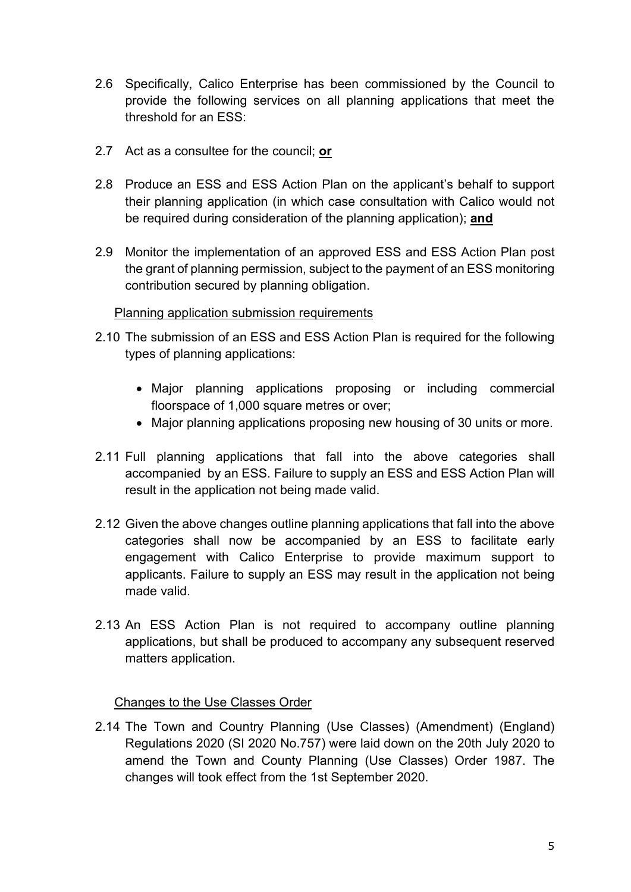- 2.6 Specifically, Calico Enterprise has been commissioned by the Council to provide the following services on all planning applications that meet the threshold for an ESS:
- 2.7 Act as a consultee for the council; or
- 2.8 Produce an ESS and ESS Action Plan on the applicant's behalf to support their planning application (in which case consultation with Calico would not be required during consideration of the planning application); and
- 2.9 Monitor the implementation of an approved ESS and ESS Action Plan post the grant of planning permission, subject to the payment of an ESS monitoring contribution secured by planning obligation.

#### Planning application submission requirements

- 2.10 The submission of an ESS and ESS Action Plan is required for the following types of planning applications:
	- Major planning applications proposing or including commercial floorspace of 1,000 square metres or over;
	- Major planning applications proposing new housing of 30 units or more.
- 2.11 Full planning applications that fall into the above categories shall accompanied by an ESS. Failure to supply an ESS and ESS Action Plan will result in the application not being made valid.
- 2.12 Given the above changes outline planning applications that fall into the above categories shall now be accompanied by an ESS to facilitate early engagement with Calico Enterprise to provide maximum support to applicants. Failure to supply an ESS may result in the application not being made valid.
- 2.13 An ESS Action Plan is not required to accompany outline planning applications, but shall be produced to accompany any subsequent reserved matters application.

## Changes to the Use Classes Order

2.14 The Town and Country Planning (Use Classes) (Amendment) (England) Regulations 2020 (SI 2020 No.757) were laid down on the 20th July 2020 to amend the Town and County Planning (Use Classes) Order 1987. The changes will took effect from the 1st September 2020.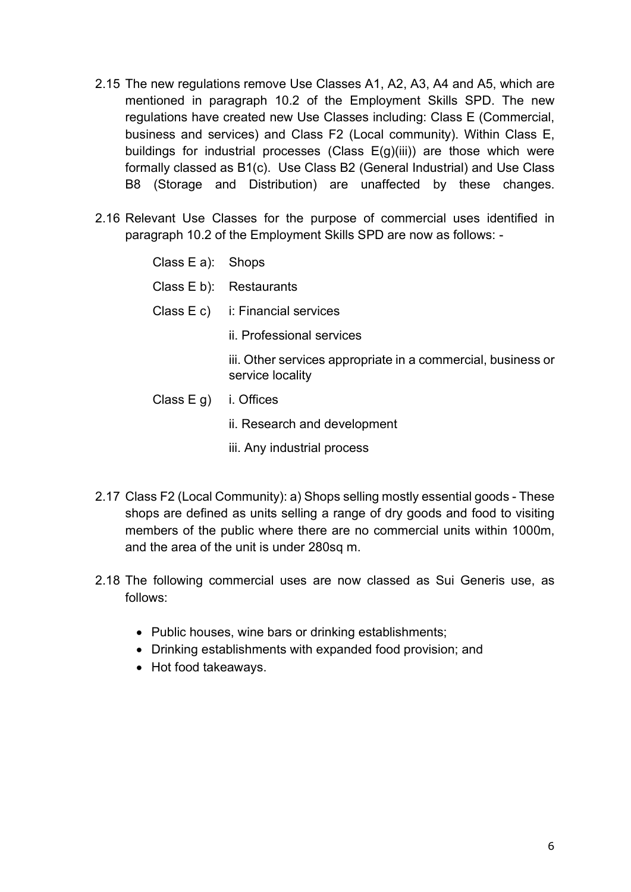- 2.15 The new regulations remove Use Classes A1, A2, A3, A4 and A5, which are mentioned in paragraph 10.2 of the Employment Skills SPD. The new regulations have created new Use Classes including: Class E (Commercial, business and services) and Class F2 (Local community). Within Class E, buildings for industrial processes (Class  $E(g)(iii)$ ) are those which were formally classed as B1(c). Use Class B2 (General Industrial) and Use Class B8 (Storage and Distribution) are unaffected by these changes.
- 2.16 Relevant Use Classes for the purpose of commercial uses identified in paragraph 10.2 of the Employment Skills SPD are now as follows: -

Class E a): Shops Class E b): Restaurants Class E c) i: Financial services ii. Professional services iii. Other services appropriate in a commercial, business or service locality Class E g) i. Offices ii. Research and development

iii. Any industrial process

- 2.17 Class F2 (Local Community): a) Shops selling mostly essential goods These shops are defined as units selling a range of dry goods and food to visiting members of the public where there are no commercial units within 1000m, and the area of the unit is under 280sq m.
- 2.18 The following commercial uses are now classed as Sui Generis use, as follows:
	- Public houses, wine bars or drinking establishments;
	- Drinking establishments with expanded food provision; and
	- Hot food takeaways.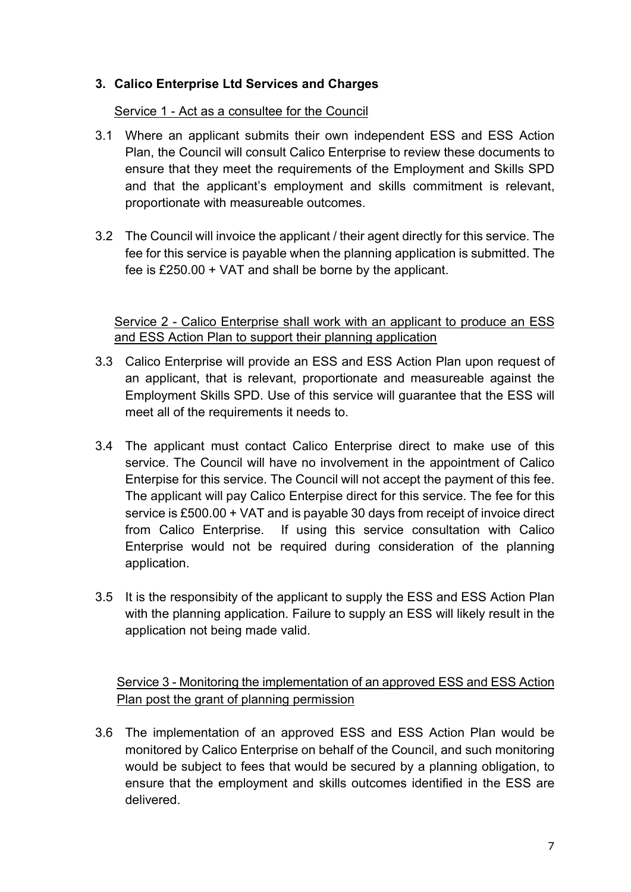## 3. Calico Enterprise Ltd Services and Charges

Service 1 - Act as a consultee for the Council

- 3.1 Where an applicant submits their own independent ESS and ESS Action Plan, the Council will consult Calico Enterprise to review these documents to ensure that they meet the requirements of the Employment and Skills SPD and that the applicant's employment and skills commitment is relevant, proportionate with measureable outcomes.
- 3.2 The Council will invoice the applicant / their agent directly for this service. The fee for this service is payable when the planning application is submitted. The fee is £250.00 + VAT and shall be borne by the applicant.

Service 2 - Calico Enterprise shall work with an applicant to produce an ESS and ESS Action Plan to support their planning application

- 3.3 Calico Enterprise will provide an ESS and ESS Action Plan upon request of an applicant, that is relevant, proportionate and measureable against the Employment Skills SPD. Use of this service will guarantee that the ESS will meet all of the requirements it needs to.
- 3.4 The applicant must contact Calico Enterprise direct to make use of this service. The Council will have no involvement in the appointment of Calico Enterpise for this service. The Council will not accept the payment of this fee. The applicant will pay Calico Enterpise direct for this service. The fee for this service is £500.00 + VAT and is payable 30 days from receipt of invoice direct from Calico Enterprise. If using this service consultation with Calico Enterprise would not be required during consideration of the planning application.
- 3.5 It is the responsibity of the applicant to supply the ESS and ESS Action Plan with the planning application. Failure to supply an ESS will likely result in the application not being made valid.

Service 3 - Monitoring the implementation of an approved ESS and ESS Action Plan post the grant of planning permission

3.6 The implementation of an approved ESS and ESS Action Plan would be monitored by Calico Enterprise on behalf of the Council, and such monitoring would be subject to fees that would be secured by a planning obligation, to ensure that the employment and skills outcomes identified in the ESS are delivered.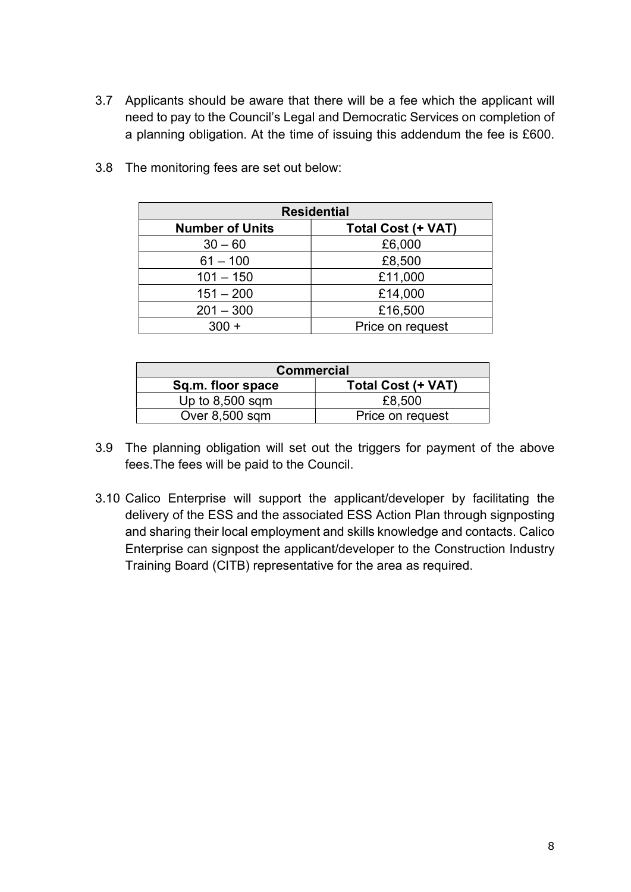3.7 Applicants should be aware that there will be a fee which the applicant will need to pay to the Council's Legal and Democratic Services on completion of a planning obligation. At the time of issuing this addendum the fee is £600.

| <b>Residential</b>     |                    |  |  |
|------------------------|--------------------|--|--|
| <b>Number of Units</b> | Total Cost (+ VAT) |  |  |
| $30 - 60$              | £6,000             |  |  |
| $61 - 100$             | £8,500             |  |  |
| $101 - 150$            | £11,000            |  |  |
| $151 - 200$            | £14,000            |  |  |
| $201 - 300$            | £16,500            |  |  |
| $300 +$                | Price on request   |  |  |

3.8 The monitoring fees are set out below:

| <b>Commercial</b> |                    |  |  |
|-------------------|--------------------|--|--|
| Sq.m. floor space | Total Cost (+ VAT) |  |  |
| Up to $8,500$ sqm | £8,500             |  |  |
| Over $8,500$ sqm  | Price on request   |  |  |

- 3.9 The planning obligation will set out the triggers for payment of the above fees.The fees will be paid to the Council.
- 3.10 Calico Enterprise will support the applicant/developer by facilitating the delivery of the ESS and the associated ESS Action Plan through signposting and sharing their local employment and skills knowledge and contacts. Calico Enterprise can signpost the applicant/developer to the Construction Industry Training Board (CITB) representative for the area as required.